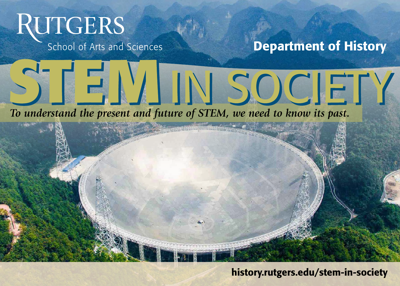# **RUTGERS**

School of Arts and Sciences

## Department of History

### *To understand the present and future of STEM, we need to know its past.*



STEIVIIN SOCIETY

#### history.rutgers.edu/stem-in-society